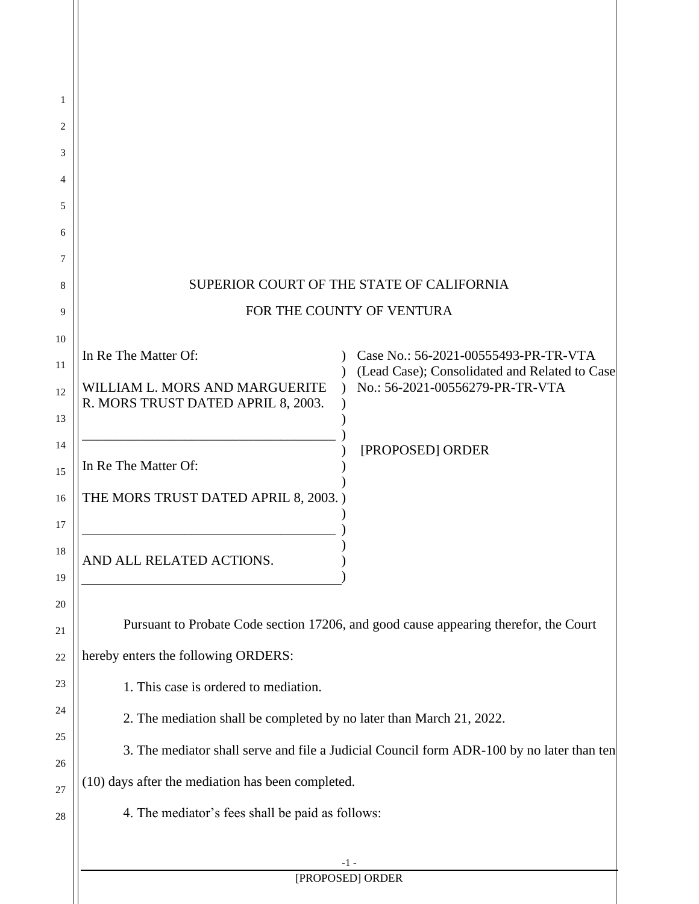|                                                                                              | SUPERIOR COURT OF THE STATE OF CALIFORNIA                                                                                |
|----------------------------------------------------------------------------------------------|--------------------------------------------------------------------------------------------------------------------------|
|                                                                                              | FOR THE COUNTY OF VENTURA                                                                                                |
| In Re The Matter Of:<br>WILLIAM L. MORS AND MARGUERITE<br>R. MORS TRUST DATED APRIL 8, 2003. | Case No.: 56-2021-00555493-PR-TR-VTA<br>(Lead Case); Consolidated and Related to Case<br>No.: 56-2021-00556279-PR-TR-VTA |
| In Re The Matter Of:                                                                         | [PROPOSED] ORDER                                                                                                         |
| THE MORS TRUST DATED APRIL 8, 2003.)                                                         |                                                                                                                          |
| AND ALL RELATED ACTIONS.                                                                     |                                                                                                                          |
|                                                                                              | Pursuant to Probate Code section 17206, and good cause appearing therefor, the Court                                     |
| hereby enters the following ORDERS:                                                          |                                                                                                                          |
| 1. This case is ordered to mediation.                                                        |                                                                                                                          |
| 2. The mediation shall be completed by no later than March 21, 2022.                         |                                                                                                                          |
|                                                                                              | 3. The mediator shall serve and file a Judicial Council form ADR-100 by no later than ten                                |
| (10) days after the mediation has been completed.                                            |                                                                                                                          |
| 4. The mediator's fees shall be paid as follows:                                             |                                                                                                                          |
|                                                                                              | -1 -                                                                                                                     |
|                                                                                              | [PROPOSED] ORDER                                                                                                         |

 $\parallel$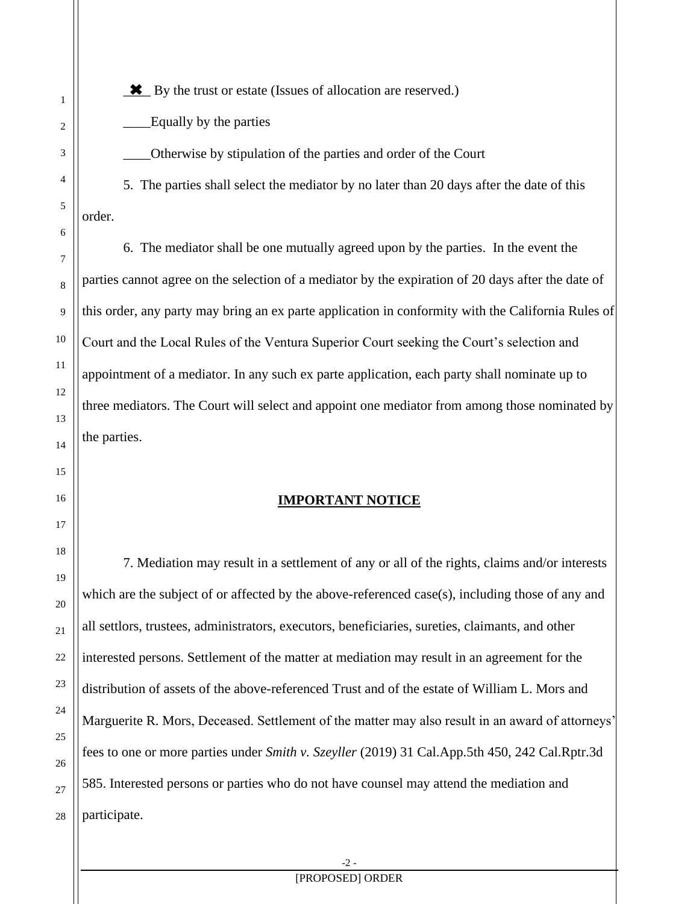\_\_\_\_ By the trust or estate (Issues of allocation are reserved.)

\_\_\_\_Equally by the parties

\_\_\_\_Otherwise by stipulation of the parties and order of the Court

5. The parties shall select the mediator by no later than 20 days after the date of this order.

6. The mediator shall be one mutually agreed upon by the parties. In the event the parties cannot agree on the selection of a mediator by the expiration of 20 days after the date of this order, any party may bring an ex parte application in conformity with the California Rules of Court and the Local Rules of the Ventura Superior Court seeking the Court's selection and appointment of a mediator. In any such ex parte application, each party shall nominate up to three mediators. The Court will select and appoint one mediator from among those nominated by the parties.

## **IMPORTANT NOTICE**

7. Mediation may result in a settlement of any or all of the rights, claims and/or interests which are the subject of or affected by the above-referenced case(s), including those of any and all settlors, trustees, administrators, executors, beneficiaries, sureties, claimants, and other interested persons. Settlement of the matter at mediation may result in an agreement for the distribution of assets of the above-referenced Trust and of the estate of William L. Mors and Marguerite R. Mors, Deceased. Settlement of the matter may also result in an award of attorneys' fees to one or more parties under *Smith v. Szeyller* (2019) 31 Cal.App.5th 450, 242 Cal.Rptr.3d 585. Interested persons or parties who do not have counsel may attend the mediation and participate.